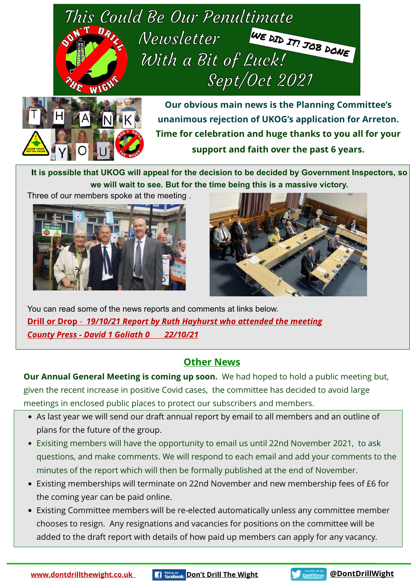



**Our obvious main news is the Planning Committee's unanimous rejection of UKOG's application for Arreton. Time for celebration and huge thanks to you all for your support and faith over the past 6 years.**

**It is possible that UKOG will appeal for the decision to be decided by Government Inspectors, so we will wait to see. But for the time being this is a massive victory.** 

Three of our members spoke at the meeting .





You can read some of the news reports and comments at links below. **Drill or Drop** - *19/10/21 [Report by Ruth Hayhurst who attended the meeting](https://drillordrop.com/2021/10/19/breaking-isle-of-wight-oil-drilling-plans-blocked/) [County Press - David 1 Goliath 0 22/10/21](https://0f514b74-9474-4f50-9f21-e2a47e831cb8.filesusr.com/ugd/3efc11_4e4336dfb5234d53a2ba4881c87fbe51.pdf)*

## **Other News**

**Our Annual General Meeting is coming up soon.** We had hoped to hold a public meeting but, given the recent increase in positive Covid cases, the committee has decided to avoid large meetings in enclosed public places to protect our subscribers and members.

- As last year we will send our draft annual report by email to all members and an outline of plans for the future of the group.
- Exisiting members will have the opportunity to email us until 22nd November 2021, to ask questions, and make comments. We will respond to each email and add your comments to the minutes of the report which will then be formally published at the end of November.
- Existing memberships will terminate on 22nd November and new membership fees of £6 for the coming year can be paid online.
- Existing Committee members will be re-elected automatically unless any committee member chooses to resign. Any resignations and vacancies for positions on the committee will be added to the draft report with details of how paid up members can apply for any vacancy.